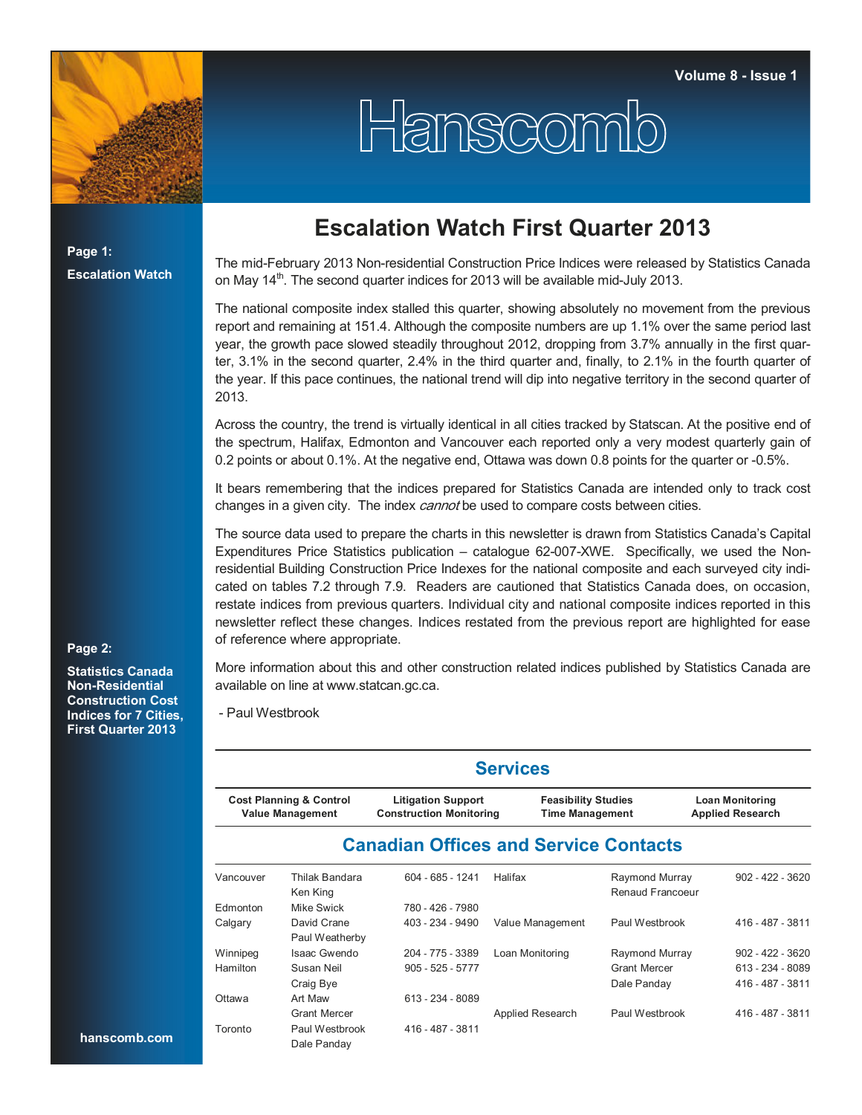

Hanscomb

**Page 1: Escalation Watch**

## **Escalation Watch First Quarter 2013**

The mid-February 2013 Non-residential Construction Price Indices were released by Statistics Canada on May  $14<sup>th</sup>$ . The second quarter indices for 2013 will be available mid-July 2013.

The national composite index stalled this quarter, showing absolutely no movement from the previous report and remaining at 151.4. Although the composite numbers are up 1.1% over the same period last year, the growth pace slowed steadily throughout 2012, dropping from 3.7% annually in the first quarter, 3.1% in the second quarter, 2.4% in the third quarter and, finally, to 2.1% in the fourth quarter of the year. If this pace continues, the national trend will dip into negative territory in the second quarter of 2013.

Across the country, the trend is virtually identical in all cities tracked by Statscan. At the positive end of the spectrum, Halifax, Edmonton and Vancouver each reported only a very modest quarterly gain of 0.2 points or about 0.1%. At the negative end, Ottawa was down 0.8 points for the quarter or -0.5%.

It bears remembering that the indices prepared for Statistics Canada are intended only to track cost changes in a given city. The index *cannot* be used to compare costs between cities.

The source data used to prepare the charts in this newsletter is drawn from Statistics Canada's Capital Expenditures Price Statistics publication – catalogue 62-007-XWE. Specifically, we used the Nonresidential Building Construction Price Indexes for the national composite and each surveyed city indicated on tables 7.2 through 7.9. Readers are cautioned that Statistics Canada does, on occasion, restate indices from previous quarters. Individual city and national composite indices reported in this newsletter reflect these changes. Indices restated from the previous report are highlighted for ease of reference where appropriate.

## **Page 2:**

**Statistics Canada Non-Residential Construction Cost Indices for 7 Cities, First Quarter 2013**

More information about this and other construction related indices published by Statistics Canada are available on line at www.statcan.gc.ca.

- Paul Westbrook

| <b>Services</b>                                               |                               |                                                             |                                                      |                                    |                                                   |  |  |  |  |  |  |
|---------------------------------------------------------------|-------------------------------|-------------------------------------------------------------|------------------------------------------------------|------------------------------------|---------------------------------------------------|--|--|--|--|--|--|
| <b>Cost Planning &amp; Control</b><br><b>Value Management</b> |                               | <b>Litigation Support</b><br><b>Construction Monitoring</b> | <b>Feasibility Studies</b><br><b>Time Management</b> |                                    | <b>Loan Monitoring</b><br><b>Applied Research</b> |  |  |  |  |  |  |
|                                                               |                               | <b>Canadian Offices and Service Contacts</b>                |                                                      |                                    |                                                   |  |  |  |  |  |  |
| Vancouver                                                     | Thilak Bandara<br>Ken King    | $604 - 685 - 1241$                                          | Halifax                                              | Raymond Murray<br>Renaud Francoeur | $902 - 422 - 3620$                                |  |  |  |  |  |  |
| <b>Edmonton</b>                                               | Mike Swick                    | 780 - 426 - 7980                                            |                                                      |                                    |                                                   |  |  |  |  |  |  |
| Calgary                                                       | David Crane<br>Paul Weatherby | 403 - 234 - 9490                                            | Value Management                                     | Paul Westbrook                     | 416 - 487 - 3811                                  |  |  |  |  |  |  |
| Winnipeg                                                      | Isaac Gwendo                  | 204 - 775 - 3389                                            | Loan Monitoring                                      | Raymond Murray                     | $902 - 422 - 3620$                                |  |  |  |  |  |  |
| Hamilton                                                      | Susan Neil                    | $905 - 525 - 5777$                                          |                                                      | <b>Grant Mercer</b>                | 613 - 234 - 8089                                  |  |  |  |  |  |  |
|                                                               | Craig Bye                     |                                                             |                                                      | Dale Panday                        | 416 - 487 - 3811                                  |  |  |  |  |  |  |
| Ottawa                                                        | Art Maw                       | 613 - 234 - 8089                                            |                                                      |                                    |                                                   |  |  |  |  |  |  |
|                                                               | <b>Grant Mercer</b>           |                                                             | Applied Research                                     | Paul Westbrook                     | 416 - 487 - 3811                                  |  |  |  |  |  |  |
| Toronto                                                       | Paul Westbrook<br>Dale Panday | 416 - 487 - 3811                                            |                                                      |                                    |                                                   |  |  |  |  |  |  |